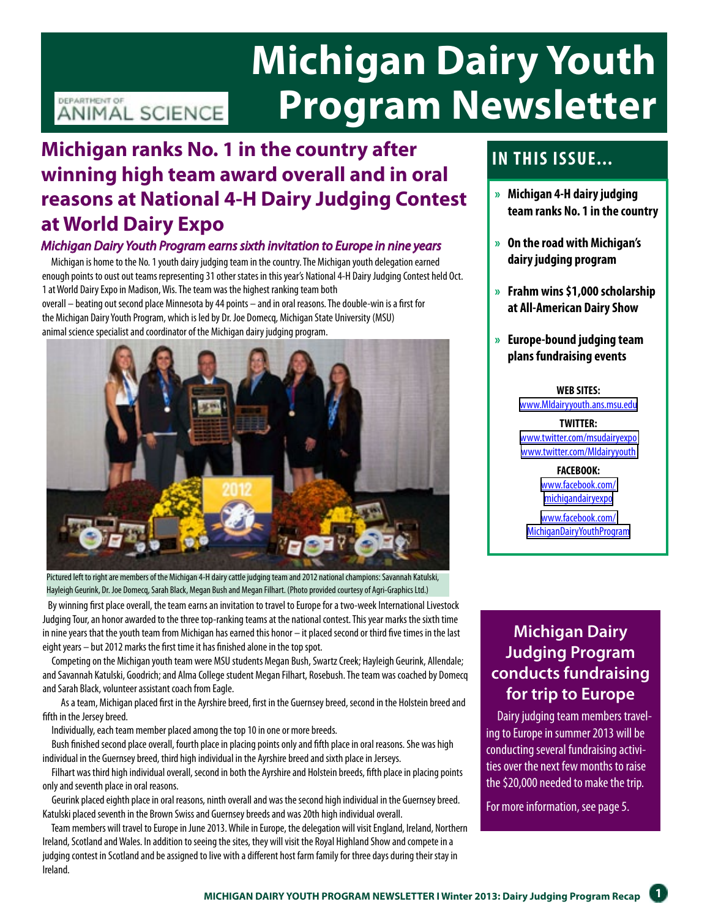# **Michigan Dairy Youth Program Newsletter**

### DEPARTMENT OF ANIMAL SCIENCE

# **Michigan ranks No. 1 in the country after winning high team award overall and in oral reasons at National 4-H Dairy Judging Contest at World Dairy Expo**

#### *Michigan Dairy Youth Program earns sixth invitation to Europe in nine years*

 Michigan is home to the No. 1 youth dairy judging team in the country. The Michigan youth delegation earned enough points to oust out teams representing 31 other states in this year's National 4-H Dairy Judging Contest held Oct. 1 at World Dairy Expo in Madison, Wis. The team was the highest ranking team both

overall – beating out second place Minnesota by 44 points – and in oral reasons. The double-win is a first for the Michigan Dairy Youth Program, which is led by Dr. Joe Domecq, Michigan State University (MSU) animal science specialist and coordinator of the Michigan dairy judging program.



Pictured left to right are members of the Michigan 4-H dairy cattle judging team and 2012 national champions: Savannah Katulski, Hayleigh Geurink, Dr. Joe Domecq, Sarah Black, Megan Bush and Megan Filhart. (Photo provided courtesy of Agri-Graphics Ltd.)

 By winning first place overall, the team earns an invitation to travel to Europe for a two-week International Livestock Judging Tour, an honor awarded to the three top-ranking teams at the national contest. This year marks the sixth time in nine years that the youth team from Michigan has earned this honor – it placed second or third five times in the last eight years – but 2012 marks the first time it has finished alone in the top spot.

 Competing on the Michigan youth team were MSU students Megan Bush, Swartz Creek; Hayleigh Geurink, Allendale; and Savannah Katulski, Goodrich; and Alma College student Megan Filhart, Rosebush. The team was coached by Domecq and Sarah Black, volunteer assistant coach from Eagle.

 As a team, Michigan placed first in the Ayrshire breed, first in the Guernsey breed, second in the Holstein breed and fifth in the Jersey breed.

Individually, each team member placed among the top 10 in one or more breeds.

 Bush finished second place overall, fourth place in placing points only and fifth place in oral reasons. She was high individual in the Guernsey breed, third high individual in the Ayrshire breed and sixth place in Jerseys.

 Filhart was third high individual overall, second in both the Ayrshire and Holstein breeds, fifth place in placing points only and seventh place in oral reasons.

 Geurink placed eighth place in oral reasons, ninth overall and was the second high individual in the Guernsey breed. Katulski placed seventh in the Brown Swiss and Guernsey breeds and was 20th high individual overall.

 Team members will travel to Europe in June 2013. While in Europe, the delegation will visit England, Ireland, Northern Ireland, Scotland and Wales. In addition to seeing the sites, they will visit the Royal Highland Show and compete in a judging contest in Scotland and be assigned to live with a different host farm family for three days during their stay in Ireland.

# **In this issue...**

- **» Michigan 4-H dairy judging team ranks No. 1 in the country**
- **» On the road with Michigan's dairy judging program**
- **» Frahm wins \$1,000 scholarship at All-American Dairy Show**
- **» Europe-bound judging team plans fundraising events**

**WEB SITES:**  [www.MIdairyyouth.ans.msu.edu](www.MIdairyyouth.ans.msu.edu
)

**TWITTER:**  [www.twitter.com/msudairyexpo](www.twitter.com/msudairyexpo
) [www.twitter.com/MIdairyyouth](www.twitter.com/MIdairyyouth
)

> **FACEBOOK:**  [www.facebook.com/](www.facebook.com/
> michigandairyexpo) [michigandairyexpo](www.facebook.com/
> michigandairyexpo)

[www.facebook.com/](www.facebook.com/
MichiganDairyYouthProgram) [MichiganDairyYouthProgram](www.facebook.com/
MichiganDairyYouthProgram)

### **Michigan Dairy Judging Program conducts fundraising for trip to Europe**

 Dairy judging team members traveling to Europe in summer 2013 will be conducting several fundraising activities over the next few months to raise the \$20,000 needed to make the trip.

For more information, see page 5.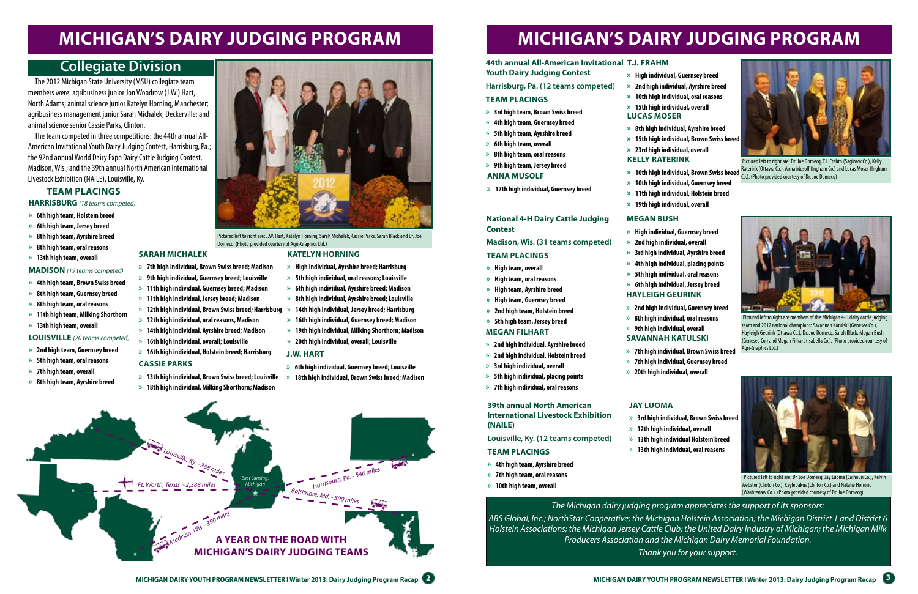# **Michigan's dairy judging program Michigan's dairy judging program**

#### **44th annual All-American Invitational T.J. FR**

#### **Katelyn Horning**

- **» High individual, Ayrshire breed; Harrisburg**
- **» 5th high individual, oral reasons; Louisville**
- **» 6th high individual, Ayrshire breed; Madison**
- **» 8th high individual, Ayrshire breed; Louisville**
- 
- **» 16th high individual, Guernsey breed; Madison**
- **» 19th high individual, Milking Shorthorn; Madison**
- **» 20th high individual, overall; Louisville**
- 
- **Sarah Michalek**

**» 7th high individual, Brown Swiss breed; Madison**

**» 9th high individual, Guernsey breed; Louisville » 11th high individual, Guernsey breed; Madison**

- 
- **» 14th high individual, Jersey breed; Harrisburg » 12th high individual, Brown Swiss breed; Harrisburg » 11th high individual, Jersey breed; Madison » 12th high individual, oral reasons, Madison**
- **» 14th high individual, Ayrshire breed; Madison**
- **» 16th high individual, overall; Louisville**
- **» 16th high individual, Holstein breed; Harrisburg**

#### **cassie parks**

- **» 13th high individual, Brown Swiss breed; Louisville**
- **» 18th high individual, Milking Shorthorn; Madison**

#### **J.W. Hart**

- **» 6th high individual, Guernsey breed; Louisville**
- **» 18th high individual, Brown Swiss breed; Madison**

 The 2012 Michigan State University (MSU) collegiate team members were: agribusiness junior Jon Woodrow (J.W.) Hart, North Adams; animal science junior Katelyn Horning, Manchester; agribusiness management junior Sarah Michalek, Deckerville; and animal science senior Cassie Parks, Clinton.

 The team competed in three competitions: the 44th annual All-American Invitational Youth Dairy Judging Contest, Harrisburg, Pa.; the 92nd annual World Dairy Expo Dairy Cattle Judging Contest, Madison, Wis.; and the 39th annual North American International Livestock Exhibition (NAILE), Louisville, Ky.

## **Collegiate Division**

 Pictured left to right are: J.W. Hart, Katelyn Horning, Sarah Michalek, Cassie Parks, Sarah Black and Dr. Joe Domecq. (Photo provided courtesy of Agri-Graphics Ltd.)

#### **HARRISBURG** *(18 teams competed)*

- **» 6th high team, Holstein breed**
- **» 6th high team, Jersey breed**
- **» 8th high team, Ayrshire breed**
- **» 8th high team, oral reasons**
- **» 13th high team, overall**
- **MADISON** *(19 teams competed)*
- **» 4th high team, Brown Swiss breed**
- **» 8th high team, Guernsey breed**
- **» 8th high team, oral reasons**
- **» 11th high team, Milking Shorthorn**
- **» 13th high team, overall**

#### **LOUISVILLE** *(20 teams competed)*

- **» 2nd high team, Guernsey breed**
- **» 5th high team, oral reasons**
- **» 7th high team, overall**
- **» 8th high team, Ayrshire breed**



#### **Team Placings**





 Pictured left to right are: Dr. Joe Domecq, T.J. Frahm (Saginaw Co.), Kelly Raterink (Ottawa Co.), Anna Musolf (Ingham Co.) and Lucas Moser (Ingham Co.). (Photo provided courtesy of Dr. Joe Domecq)

- **Youth Dairy Judging Contest**
- **Harrisburg, Pa. (12 teams competed)**

#### **Team placings**

- **» 3rd high team, Brown Swiss breed**
- **» 4th high team, Guernsey breed**
- **» 5th high team, Ayrshire breed**
- **» 6th high team, overall**
- **» 8th high team, oral reasons**
- **» 9th high team, Jersey breed**
- 

**» High individual, Guernsey breed » 2nd high individual, Ayrshire breed » 10th high individual, oral reasons » 15th high individual, overall Lucas moser**

**» 10th high individual, Brown Swiss breed » 10th high individual, Guernsey breed » 11th high individual, Holstein breed » 19th high individual, overall**

**Kelly Raterink » 8th high individual, Ayrshire breed » 15th high individual, Brown Swiss breed » 23rd high individual, overall**

### **Anna Musolf**

**» 17th high individual, Guernsey breed**



 Pictured left to right are members of the Michigan 4-H dairy cattle judging team and 2012 national champions: Savannah Katulski (Genesee Co.), Hayleigh Geurink (Ottawa Co.), Dr. Joe Domecq, Sarah Black, Megan Bush (Genesee Co.) and Megan Filhart (Isabella Co.). (Photo provided courtesy of Agri-Graphics Ltd.)

#### **National 4-H Dairy Cattle Judging Contest**

#### **Madison, Wis. (31 teams competed)**

#### **Team placings**

- **» High team, overall**
- **» High team, oral reasons**
- **» High team, Ayrshire breed**
- **» High team, Guernsey breed**
- **» 2nd high team, Holstein breed**
- **» 5th high team, Jersey breed**

#### **megan bush**

**» High individual, Guernsey breed » 2nd high individual, overall » 3rd high individual, Ayrshire breed » 4th high individual, placing points » 5th high individual, oral reasons » 6th high individual, Jersey breed Hayleigh Geurink**

#### **megan filhart**

- **» 2nd high individual, Ayrshire breed**
- **» 2nd high individual, Holstein breed**
- **» 3rd high individual, overall**
- **» 5th high individual, placing points**
- **» 7th high individual, oral reasons**

**» 2nd high individual, Guernsey breed » 8th high individual, oral reasons » 9th high individual, overall Savannah Katulski**

**» 7th high individual, Brown Swiss breed » 7th high individual, Guernsey breed » 20th high individual, overall**



 Pictured left to right are: Dr. Joe Domecq, Jay Luoma (Calhoun Co.), Kelvin Webster (Clinton Co.), Kayle Jakus (Clinton Co.) and Natalie Horning (Washtenaw Co.). (Photo provided courtesy of Dr. Joe Domecq)

#### **39th annual North American International Livestock Exhibition (NAILE)**

#### **Louisville, Ky. (12 teams competed)**

#### **Team placings**

- **» 4th high team, Ayrshire breed**
- **» 7th high team, oral reasons**
- **» 10th high team, overall**

**Jay Luoma**



*The Michigan dairy judging program appreciates the support of its sponsors: ABS Global, Inc.; NorthStar Cooperative; the Michigan Holstein Association; the Michigan District 1 and District 6 Holstein Associations; the Michigan Jersey Cattle Club; the United Dairy Industry of Michigan; the Michigan Milk Producers Association and the Michigan Dairy Memorial Foundation. Thank you for your support.*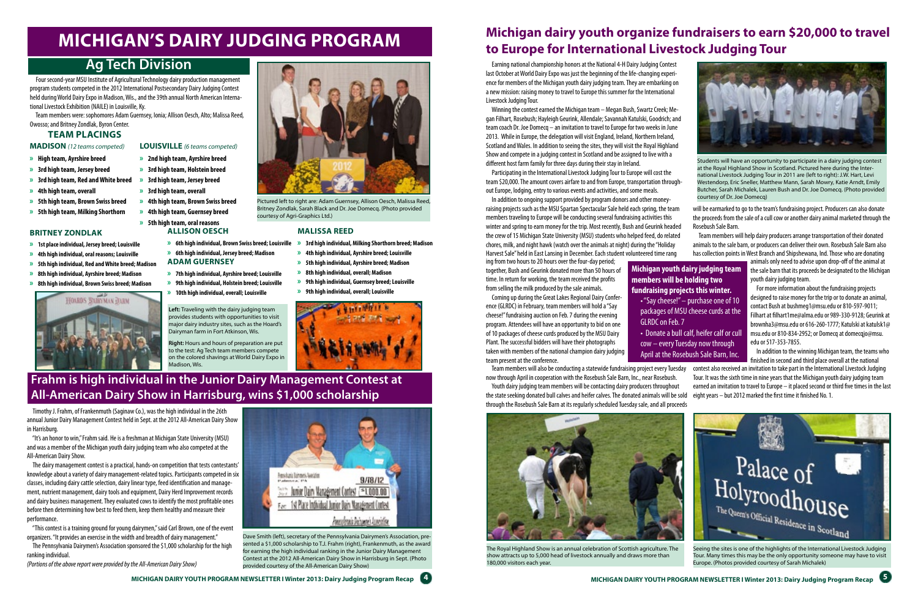# **Frahm is high individual in the Junior Dairy Management Contest at All-American Dairy Show in Harrisburg, wins \$1,000 scholarship**

Dave Smith (left), secretary of the Pennsylvania Dairymen's Association, presented a \$1,000 scholarship to T.J. Frahm (right), Frankenmuth, as the award for earning the high individual ranking in the Junior Dairy Management Contest at the 2012 All-American Dairy Show in Harrisburg in Sept. (Photo provided courtesy of the All-American Dairy Show)

 Timothy J. Frahm, of Frankenmuth (Saginaw Co.), was the high individual in the 26th annual Junior Dairy Management Contest held in Sept. at the 2012 All-American Dairy Show in Harrisburg.

 "It's an honor to win," Frahm said. He is a freshman at Michigan State University (MSU) and was a member of the Michigan youth dairy judging team who also competed at the All-American Dairy Show.

 The dairy management contest is a practical, hands-on competition that tests contestants' knowledge about a variety of dairy management-related topics. Participants competed in six classes, including dairy cattle selection, dairy linear type, feed identification and management, nutrient management, dairy tools and equipment, Dairy Herd Improvement records and dairy business management. They evaluated cows to identify the most profitable ones before then determining how best to feed them, keep them healthy and measure their performance.

 "This contest is a training ground for young dairymen," said Carl Brown, one of the event organizers. "It provides an exercise in the width and breadth of dairy management."

 The Pennsylvania Dairymen's Association sponsored the \$1,000 scholarship for the high ranking individual.

*(Portions of the above report were provided by the All-American Dairy Show)*



Pictured left to right are: Adam Guernsey, Allison Oesch, Malissa Reed, Britney Zondlak, Sarah Black and Dr. Joe Domecq. (Photo provided courtesy of Agri-Graphics Ltd.)

 Four second-year MSU Institute of Agricultural Technology dairy production management program students competed in the 2012 International Postsecondary Dairy Judging Contest held during World Dairy Expo in Madison, Wis., and the 39th annual North American International Livestock Exhibition (NAILE) in Louisville, Ky.

 Team members were: sophomores Adam Guernsey, Ionia; Allison Oesch, Alto; Malissa Reed, Owosso; and Britney Zondlak, Byron Center.

## **Ag Tech Division**

**Adam Guernsey**

**» 7th high individual, Ayrshire breed; Louisville » 9th high individual, Holstein breed; Louisville » 10th high individual, overall; Louisville**

**Allison Oesch**

**» 6th high individual, Jersey breed; Madison**



#### **Malissa Reed**

- **» 6th high individual, Brown Swiss breed; Louisville » 3rd high individual, Milking Shorthorn breed; Madison**
	- **» 4th high individual, Ayrshire breed; Louisville**
	- **» 5th high individual, Ayrshire breed; Madison**
	- **» 8th high individual, overall; Madison**
	- **» 9th high individual, Guernsey breed; Louisville**
	- **» 9th high individual, overall; Louisville**



#### **Britney Zondlak**

- **» 1st place individual, Jersey breed; Louisville**
- **» 4th high individual, oral reasons; Louisville**
- **» 5th high individual, Red and White breed; Madison**
- **» 8th high individual, Ayrshire breed; Madison**
- **» 8th high individual, Brown Swiss breed; Madison**



#### **MADISON** *(12 teams competed)*

- **» High team, Ayrshire breed**
- **» 3rd high team, Jersey breed**
- **» 3rd high team, Red and White breed**
- **» 4th high team, overall**
- **» 5th high team, Brown Swiss breed**
- **» 5th high team, Milking Shorthorn**
- 



- **» 3rd high team, Holstein breed**
- **» 3rd high team, Jersey breed**
- **» 3rd high team, overall**
- **» 4th high team, Brown Swiss breed**
- **» 4th high team, Guernsey breed**
- **» 5th high team, oral reasons**

### **Team Placings**

# **Michigan's dairy judging program**

 **Left:** Traveling with the dairy judging team provides students with opportunities to visit major dairy industry sites, such as the Hoard's Dairyman farm in Fort Atkinson, Wis.

 **Right:** Hours and hours of preparation are put to the test: Ag Tech team members compete on the colored shavings at World Dairy Expo in

Madison, Wis.

animals only need to advise upon drop-off of the animal at the sale barn that its proceeds be designated to the Michigan youth dairy judging team.

# **Michigan dairy youth organize fundraisers to earn \$20,000 to travel to Europe for International Livestock Judging Tour**

 Earning national championship honors at the National 4-H Dairy Judging Contest last October at World Dairy Expo was just the beginning of the life-changing experience for members of the Michigan youth dairy judging team. They are embarking on a new mission: raising money to travel to Europe this summer for the International Livestock Judging Tour.

 Winning the contest earned the Michigan team – Megan Bush, Swartz Creek; Megan Filhart, Rosebush; Hayleigh Geurink, Allendale; Savannah Katulski, Goodrich; and team coach Dr. Joe Domecq – an invitation to travel to Europe for two weeks in June 2013. While in Europe, the delegation will visit England, Ireland, Northern Ireland, Scotland and Wales. In addition to seeing the sites, they will visit the Royal Highland Show and compete in a judging contest in Scotland and be assigned to live with a different host farm family for three days during their stay in Ireland.

 Participating in the International Livestock Judging Tour to Europe will cost the team \$20,000. The amount covers airfare to and from Europe, transportation throughout Europe, lodging, entry to various events and activities, and some meals.

Students will have an opportunity to participate in a dairy judging contest at the Royal Highland Show in Scotland. Pictured here during the International Livestock Judging Tour in 2011 are (left to right): J.W. Hart, Levi Westendorp, Eric Sneller, Matthew Mann, Sarah Mowry, Katie Arndt, Emily Butcher, Sarah Michalek, Lauren Bush and Dr. Joe Domecq. (Photo provided courtesy of Dr. Joe Domecq)

Seeing the sites is one of the highlights of the International Livestock Judging Tour. Many times this may be the only opportunity someone may have to visit Europe. (Photos provided courtesy of Sarah Michalek)



The Royal Highland Show is an annual celebration of Scottish agriculture. The show attracts up to 5,000 head of livestock annually and draws more than 180,000 visitors each year.

**Michigan youth dairy judging team members will be holding two fundraising projects this winter.** • "Say cheese!" – purchase one of 10 packages of MSU cheese curds at the GLRDC on Feb. 7

contest also received an invitation to take part in the International Livestock Judging Tour. It was the sixth time in nine years that the Michigan youth dairy judging team earned an invitation to travel to Europe – it placed second or third five times in the last eight years – but 2012 marked the first time it finished No. 1. Team members will also be conducting a statewide fundraising project every Tuesday now through April in cooperation with the Rosebush Sale Barn, Inc., near Rosebush. Youth dairy judging team members will be contacting dairy producers throughout the state seeking donated bull calves and heifer calves. The donated animals will be sold through the Rosebush Sale Barn at its regularly scheduled Tuesday sale, and all proceeds

• Donate a bull calf, heifer calf or cull cow – every Tuesday now through April at the Rosebush Sale Barn, Inc.

 In addition to ongoing support provided by program donors and other moneyraising projects such as the MSU Spartan Spectacular Sale held each spring, the team members traveling to Europe will be conducting several fundraising activities this winter and spring to earn money for the trip. Most recently, Bush and Geurink headed the crew of 15 Michigan State University (MSU) students who helped feed, do related chores, milk, and night hawk (watch over the animals at night) during the "Holiday Harvest Sale" held in East Lansing in December. Each student volunteered time rang will be earmarked to go to the team's fundraising project. Producers can also donate the proceeds from the sale of a cull cow or another dairy animal marketed through the Rosebush Sale Barn. Team members will help dairy producers arrange transportation of their donated animals to the sale barn, or producers can deliver their own. Rosebush Sale Barn also has collection points in West Branch and Shipshewana, Ind. Those who are donating

ing from two hours to 20 hours over the four-day period; together, Bush and Geurink donated more than 50 hours of time. In return for working, the team received the profits from selling the milk produced by the sale animals.

 Coming up during the Great Lakes Regional Dairy Conference (GLRDC) in February, team members will hold a "Say cheese!" fundraising auction on Feb. 7 during the evening program. Attendees will have an opportunity to bid on one of 10 packages of cheese curds produced by the MSU Dairy Plant. The successful bidders will have their photographs taken with members of the national champion dairy judging team present at the conference.

 For more information about the fundraising projects designed to raise money for the trip or to donate an animal, contact Bush at bushmeg1@msu.edu or 810-597-9011; Filhart at filhart1me@alma.edu or 989-330-9128; Geurink at brownha3@msu.edu or 616-260-1777; Katulski at katulsk1@ msu.edu or 810-834-2952; or Domecq at domecqjo@msu. edu or 517-353-7855.

 In addition to the winning Michigan team, the teams who finished in second and third place overall at the national